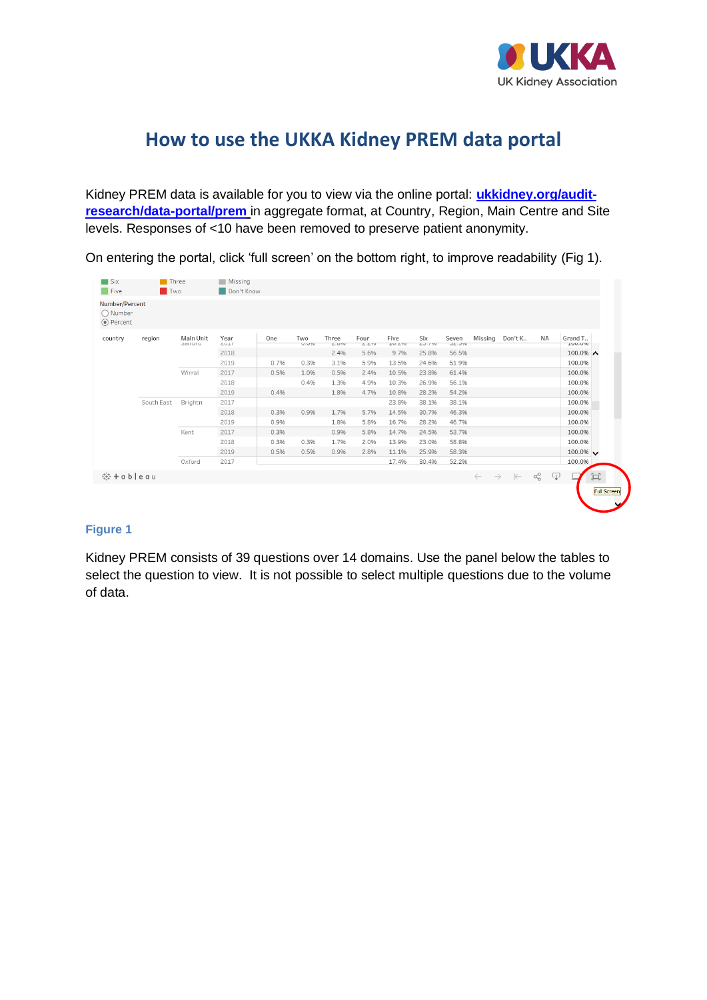

## **How to use the UKKA Kidney PREM data portal**

Kidney PREM data is available for you to view via the online portal: **[ukkidney.org/audit](https://ukkidney.org/audit-research/data-portal/prem)[research/data-portal/prem](https://ukkidney.org/audit-research/data-portal/prem)** in aggregate format, at Country, Region, Main Centre and Site levels. Responses of <10 have been removed to preserve patient anonymity.

On entering the portal, click 'full screen' on the bottom right, to improve readability (Fig 1).

| $\blacksquare$ Five<br>Number/Percent<br>O Number | <b>Two</b> |                    | Don't Know                   |      |                     |                |                 |                                |               |                        |         |                                                 |                   |                           |     |
|---------------------------------------------------|------------|--------------------|------------------------------|------|---------------------|----------------|-----------------|--------------------------------|---------------|------------------------|---------|-------------------------------------------------|-------------------|---------------------------|-----|
| ◉ Percent                                         |            |                    |                              |      |                     |                |                 |                                |               |                        |         |                                                 |                   |                           |     |
| country                                           | region     | Main Unit<br>DIUTO | Year<br>$\angle$ U $\perp$ / | One  | Two<br><b>U.U7U</b> | Three<br>L.070 | Four<br>L. L 70 | Five<br>$\perp$ U. $\angle$ 70 | Six<br>LJ.770 | Seven<br><b>JE.J70</b> | Missing | Don't K                                         | NA                | Grand T<br><b>TAN'YOT</b> |     |
|                                                   |            |                    | 2018                         |      |                     | 2.4%           | 5.696           | 9.796                          | 25.8%         | 56.5%                  |         |                                                 |                   | $100.0\%$ ^               |     |
|                                                   |            |                    | 2019                         | 0.7% | 0.3%                | 3.1%           | 5.996           | 13.5%                          | 24.696        | 51.996                 |         |                                                 |                   | 100.0%                    |     |
|                                                   |            | Wirral             | 2017                         | 0.5% | 1.0%                | 0.596          | 2.4%            | 10.5%                          | 23.8%         | 61.4%                  |         |                                                 |                   | 100.0%                    |     |
|                                                   |            |                    | 2018                         |      | 0.4%                | 1.396          | 4.996           | 10.396                         | 26.996        | 56.1%                  |         |                                                 |                   | 100.0%                    |     |
|                                                   |            |                    | 2019                         | 0.4% |                     | 1.8%           | 4.796           | 10.896                         | 28.296        | 54.2%                  |         |                                                 |                   | 100.0%                    |     |
|                                                   | South East | Brightn            | 2017                         |      |                     |                |                 | 23.8%                          | 38.1%         | 38.1%                  |         |                                                 |                   | 100.0%                    |     |
|                                                   |            |                    | 2018                         | 0.3% | 0.9%                | 1.7%           | 5.796           | 14.5%                          | 30.796        | 46.3%                  |         |                                                 |                   | 100.0%                    |     |
|                                                   |            |                    | 2019                         | 0.9% |                     | 1.8%           | 5.8%            | 16.796                         | 28.2%         | 46.7%                  |         |                                                 |                   | 100.0%                    |     |
|                                                   |            | Kent               | 2017                         | 0.3% |                     | 0.996          | 5.8%            | 14.7%                          | 24.5%         | 53.7%                  |         |                                                 |                   | 100.0%                    |     |
|                                                   |            |                    | 2018                         | 0.3% | 0.3%                | 1.796          | 2.096           | 13.996                         | 23.096        | 58.8%                  |         |                                                 |                   | 100.0%                    |     |
|                                                   |            |                    | 2019                         | 0.5% | 0.5%                | 0.996          | 2.8%            | 11.1%                          | 25.996        | 58.3%                  |         |                                                 |                   | $100.0\%$ $\vee$          |     |
|                                                   |            | Oxford             | 2017                         |      |                     |                |                 | 17.496                         | 30.496        | 52.2%                  |         |                                                 |                   | 100.0%                    |     |
| 带 + a b   e a u                                   |            |                    |                              |      |                     |                |                 |                                |               |                        |         | $\leftarrow \quad \rightarrow \quad \leftarrow$ | ₽<br>$\alpha_0^0$ |                           | [a] |

## **Figure 1**

Kidney PREM consists of 39 questions over 14 domains. Use the panel below the tables to select the question to view. It is not possible to select multiple questions due to the volume of data.